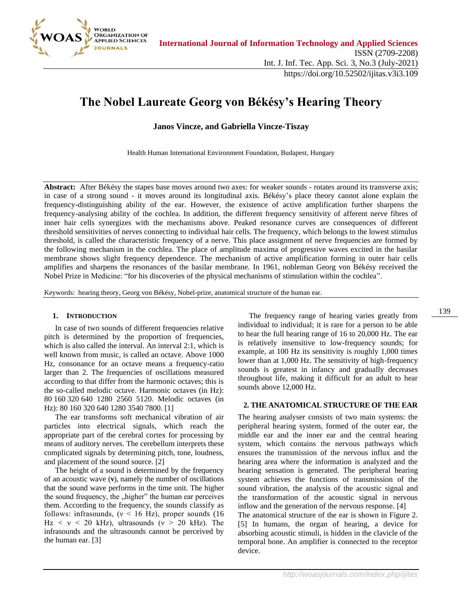

# **The Nobel Laureate Georg von Békésy's Hearing Theory**

**Janos Vincze, and Gabriella Vincze-Tiszay**

Health Human International Environment Foundation, Budapest, Hungary

**Abstract:** After Békésy the stapes base moves around two axes: for weaker sounds - rotates around its transverse axis; in case of a strong sound - it moves around its longitudinal axis. Békésy's place theory cannot alone explain the frequency-distinguishing ability of the ear. However, the existence of active amplification further sharpens the frequency-analysing ability of the cochlea. In addition, the different frequency sensitivity of afferent nerve fibres of inner hair cells synergizes with the mechanisms above. Peaked resonance curves are consequences of different threshold sensitivities of nerves connecting to individual hair cells. The frequency, which belongs to the lowest stimulus threshold, is called the characteristic frequency of a nerve. This place assignment of nerve frequencies are formed by the following mechanism in the cochlea. The place of amplitude maxima of progressive waves excited in the basilar membrane shows slight frequency dependence. The mechanism of active amplification forming in outer hair cells amplifies and sharpens the resonances of the basilar membrane. In 1961, nobleman Georg von Békésy received the Nobel Prize in Medicine: "for his discoveries of the physical mechanisms of stimulation within the cochlea".

Keywords: hearing theory, Georg von Békésy, Nobel-prize, anatomical structure of the human ear.

#### **1. INTRODUCTION**

In case of two sounds of different frequencies relative pitch is determined by the proportion of frequencies, which is also called the interval. An interval 2:1, which is well known from music, is called an octave. Above 1000 Hz, consonance for an octave means a frequency-ratio larger than 2. The frequencies of oscillations measured according to that differ from the harmonic octaves; this is the so-called melodic octave. Harmonic octaves (in Hz): 80 160 320 640 1280 2560 5120. Melodic octaves (in Hz): 80 160 320 640 1280 3540 7800. [1]

The ear transforms soft mechanical vibration of air particles into electrical signals, which reach the appropriate part of the cerebral cortex for processing by means of auditory nerves. The cerebellum interprets these complicated signals by determining pitch, tone, loudness, and placement of the sound source. [2]

The height of a sound is determined by the frequency of an acoustic wave (**ν**), namely the number of oscillations that the sound wave performs in the time unit. The higher the sound frequency, the "higher" the human ear perceives them. According to the frequency, the sounds classify as follows: infrasounds,  $(v < 16$  Hz), proper sounds (16)  $Hz < v < 20$  kHz), ultrasounds ( $v > 20$  kHz). The infrasounds and the ultrasounds cannot be perceived by the human ear. [3]

The frequency range of hearing varies greatly from individual to individual; it is rare for a person to be able to hear the full hearing range of 16 to 20,000 Hz. The ear is relatively insensitive to low-frequency sounds; for example, at 100 Hz its sensitivity is roughly 1,000 times lower than at 1,000 Hz. The sensitivity of high-frequency sounds is greatest in infancy and gradually decreases throughout life, making it difficult for an adult to hear sounds above 12,000 Hz.

## **2. THE ANATOMICAL STRUCTURE OF THE EAR**

The hearing analyser consists of two main systems: the peripheral hearing system, formed of the outer ear, the middle ear and the inner ear and the central hearing system, which contains the nervous pathways which ensures the transmission of the nervous influx and the hearing area where the information is analyzed and the hearing sensation is generated. The peripheral hearing system achieves the functions of transmission of the sound vibration, the analysis of the acoustic signal and the transformation of the acoustic signal in nervous inflow and the generation of the nervous response. [4] The anatomical structure of the ear is shown in Figure 2. [5] In humans, the organ of hearing, a device for absorbing acoustic stimuli, is hidden in the clavicle of the temporal bone. An amplifier is connected to the receptor device.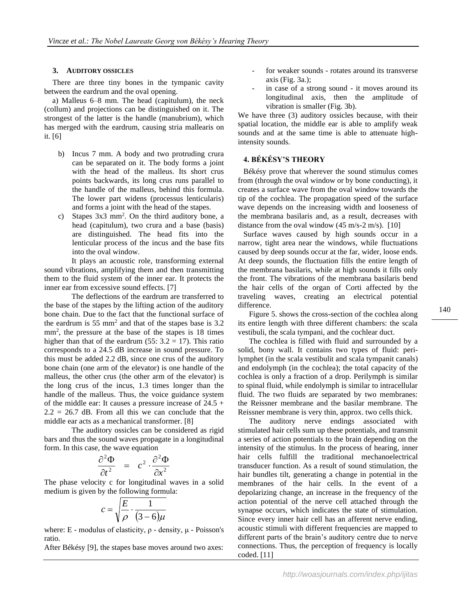## **3. AUDITORY OSSICLES**

There are three tiny bones in the tympanic cavity between the eardrum and the oval opening.

a) Malleus 6–8 mm. The head (capitulum), the neck (collum) and projections can be distinguished on it. The strongest of the latter is the handle (manubrium), which has merged with the eardrum, causing stria mallearis on it. [6]

- b) Incus 7 mm. A body and two protruding crura can be separated on it. The body forms a joint with the head of the malleus. Its short crus points backwards, its long crus runs parallel to the handle of the malleus, behind this formula. The lower part widens (processus lenticularis) and forms a joint with the head of the stapes.
- c) Stapes 3x3 mm<sup>2</sup>. On the third auditory bone, a head (capitulum), two crura and a base (basis) are distinguished. The head fits into the lenticular process of the incus and the base fits into the oval window.

It plays an acoustic role, transforming external sound vibrations, amplifying them and then transmitting them to the fluid system of the inner ear. It protects the inner ear from excessive sound effects. [7]

The deflections of the eardrum are transferred to the base of the stapes by the lifting action of the auditory bone chain. Due to the fact that the functional surface of the eardrum is  $55 \text{ mm}^2$  and that of the stapes base is  $3.2$ mm<sup>2</sup>, the pressure at the base of the stapes is 18 times higher than that of the eardrum (55:  $3.2 = 17$ ). This ratio corresponds to a 24.5 dB increase in sound pressure. To this must be added 2.2 dB, since one crus of the auditory bone chain (one arm of the elevator) is one handle of the malleus, the other crus (the other arm of the elevator) is the long crus of the incus, 1.3 times longer than the handle of the malleus. Thus, the voice guidance system of the middle ear: It causes a pressure increase of 24.5 +  $2.2 = 26.7$  dB. From all this we can conclude that the middle ear acts as a mechanical transformer. [8]

The auditory ossicles can be considered as rigid bars and thus the sound waves propagate in a longitudinal form. In this case, the wave equation

$$
\frac{\partial^2 \Phi}{\partial t^2} = c^2 \cdot \frac{\partial^2 \Phi}{\partial x^2}
$$

The phase velocity c for longitudinal waves in a solid medium is given by the following formula:

$$
c = \sqrt{\frac{E}{\rho} \cdot \frac{1}{(3-6)\mu}}
$$

where: E - modulus of elasticity,  $ρ$  - density,  $μ$  - Poisson's ratio.

After Békésy [9], the stapes base moves around two axes:

- for weaker sounds rotates around its transverse axis (Fig. 3a.);
- in case of a strong sound it moves around its longitudinal axis, then the amplitude of vibration is smaller (Fig. 3b).

We have three (3) auditory ossicles because, with their spatial location, the middle ear is able to amplify weak sounds and at the same time is able to attenuate highintensity sounds.

# **4. BÉKÉSY'S THEORY**

Békésy prove that wherever the sound stimulus comes from (through the oval window or by bone conducting), it creates a surface wave from the oval window towards the tip of the cochlea. The propagation speed of the surface wave depends on the increasing width and looseness of the membrana basilaris and, as a result, decreases with distance from the oval window  $(45 \text{ m/s-2 m/s})$ . [10]

Surface waves caused by high sounds occur in a narrow, tight area near the windows, while fluctuations caused by deep sounds occur at the far, wider, loose ends. At deep sounds, the fluctuation fills the entire length of the membrana basilaris, while at high sounds it fills only the front. The vibrations of the membrana basilaris bend the hair cells of the organ of Corti affected by the traveling waves, creating an electrical potential difference.

Figure 5. shows the cross-section of the cochlea along its entire length with three different chambers: the scala vestibuli, the scala tympani, and the cochlear duct.

The cochlea is filled with fluid and surrounded by a solid, bony wall. It contains two types of fluid: perilymphet (in the scala vestibulit and scala tympanit canals) and endolymph (in the cochlea); the total capacity of the cochlea is only a fraction of a drop. Perilymph is similar to spinal fluid, while endolymph is similar to intracellular fluid. The two fluids are separated by two membranes: the Reissner membrane and the basilar membrane. The Reissner membrane is very thin, approx. two cells thick.

The auditory nerve endings associated with stimulated hair cells sum up these potentials, and transmit a series of action potentials to the brain depending on the intensity of the stimulus. In the process of hearing, inner hair cells fulfill the traditional mechanoelectrical transducer function. As a result of sound stimulation, the hair bundles tilt, generating a change in potential in the membranes of the hair cells. In the event of a depolarizing change, an increase in the frequency of the action potential of the nerve cell attached through the synapse occurs, which indicates the state of stimulation. Since every inner hair cell has an afferent nerve ending, acoustic stimuli with different frequencies are mapped to different parts of the brain's auditory centre due to nerve connections. Thus, the perception of frequency is locally coded. [11]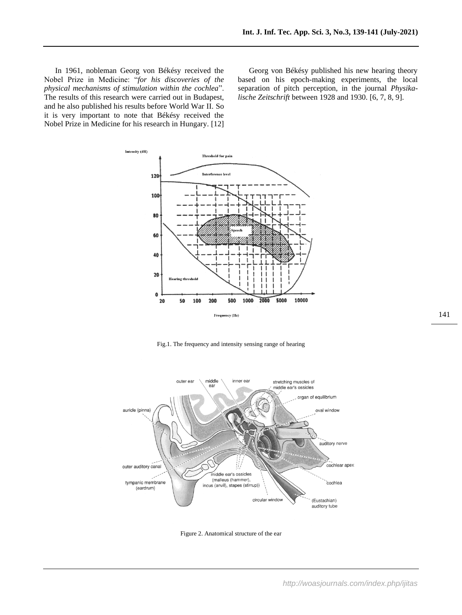In 1961, nobleman Georg von Békésy received the Nobel Prize in Medicine: "*for his discoveries of the physical mechanisms of stimulation within the cochlea*". The results of this research were carried out in Budapest, and he also published his results before World War II. So it is very important to note that Békésy received the Nobel Prize in Medicine for his research in Hungary. [12]

Georg von Békésy published his new hearing theory based on his epoch-making experiments, the local separation of pitch perception, in the journal *Physikalische Zeitschrift* between 1928 and 1930. [6, 7, 8, 9].



Fig.1. The frequency and intensity sensing range of hearing



Figure 2. Anatomical structure of the ear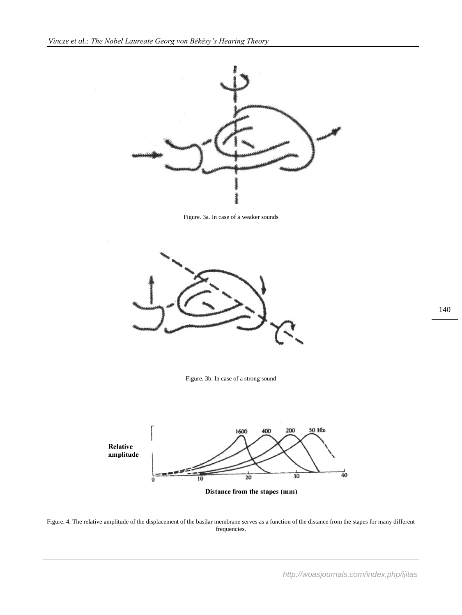

Figure. 3a. In case of a weaker sounds



Figure. 3b. In case of a strong sound



Figure. 4. The relative amplitude of the displacement of the basilar membrane serves as a function of the distance from the stapes for many different frequencies.